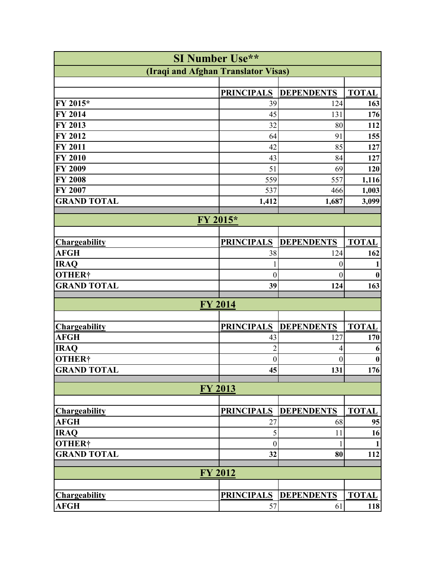| <b>SI Number Use**</b>              |                   |                   |              |  |  |
|-------------------------------------|-------------------|-------------------|--------------|--|--|
| (Iraqi and Afghan Translator Visas) |                   |                   |              |  |  |
|                                     |                   |                   |              |  |  |
|                                     | <b>PRINCIPALS</b> | <b>DEPENDENTS</b> | <b>TOTAL</b> |  |  |
| FY 2015*                            | 39                | 124               | 163          |  |  |
| $\overline{F}$ Y 2014               | 45                | 131               | 176          |  |  |
| FY 2013                             | 32                | 80                | 112          |  |  |
| FY 2012                             | 64                | 91                | 155          |  |  |
| FY 2011                             | 42                | 85                | 127          |  |  |
| FY 2010                             | 43                | 84                | 127          |  |  |
| <b>FY 2009</b>                      | 51                | 69                | 120          |  |  |
| <b>FY 2008</b>                      | 559               | 557               | 1,116        |  |  |
| FY 2007                             | 537               | 466               | 1,003        |  |  |
| <b>GRAND TOTAL</b>                  | 1,412             | 1,687             | 3,099        |  |  |
|                                     |                   |                   |              |  |  |
| FY 2015*                            |                   |                   |              |  |  |
| <b>Chargeability</b>                | <b>PRINCIPALS</b> | <b>DEPENDENTS</b> | <b>TOTAL</b> |  |  |
| <b>AFGH</b>                         | 38                | 124               | 162          |  |  |
| <b>IRAQ</b>                         | 1                 | $\boldsymbol{0}$  |              |  |  |
| <b>OTHER†</b>                       | $\boldsymbol{0}$  | $\theta$          |              |  |  |
| <b>GRAND TOTAL</b>                  | 39                | 124               | 163          |  |  |
|                                     |                   |                   |              |  |  |
| FY 2014                             |                   |                   |              |  |  |
|                                     |                   |                   |              |  |  |
| <b>Chargeability</b>                | <b>PRINCIPALS</b> | <b>DEPENDENTS</b> | <b>TOTAL</b> |  |  |
| <b>AFGH</b>                         | 43                | 127               | 170          |  |  |
| <b>IRAQ</b>                         | $\overline{2}$    | 4                 | 6            |  |  |
| <b>OTHER†</b>                       | $\boldsymbol{0}$  | $\theta$          | 0            |  |  |
| <b>GRAND TOTAL</b>                  | 45                | 131               | 176          |  |  |
|                                     |                   |                   |              |  |  |
| <b>FY 2013</b>                      |                   |                   |              |  |  |
|                                     |                   |                   |              |  |  |
| <b>Chargeability</b>                | <b>PRINCIPALS</b> | <b>DEPENDENTS</b> | <b>TOTAL</b> |  |  |
| <b>AFGH</b>                         | 27                | 68                | 95           |  |  |
| <b>IRAQ</b>                         | 5                 | 11                | 16           |  |  |
| <b>OTHER†</b>                       | $\boldsymbol{0}$  |                   |              |  |  |
| <b>GRAND TOTAL</b>                  | 32                | 80                | 112          |  |  |
|                                     |                   |                   |              |  |  |
| <b>FY 2012</b>                      |                   |                   |              |  |  |
|                                     |                   |                   |              |  |  |
| <b>Chargeability</b>                | <b>PRINCIPALS</b> | <b>DEPENDENTS</b> | <b>TOTAL</b> |  |  |
| <b>AFGH</b>                         | 57                | 61                | 118          |  |  |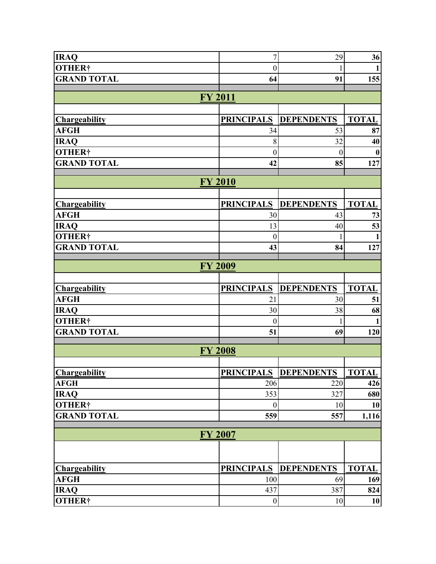| <b>IRAQ</b>                         | $\overline{7}$         | 29                           | 36                  |  |  |
|-------------------------------------|------------------------|------------------------------|---------------------|--|--|
| <b>OTHER†</b>                       | $\boldsymbol{0}$       |                              | $\mathbf{1}$        |  |  |
| <b>GRAND TOTAL</b>                  | 64                     | 91                           | 155                 |  |  |
|                                     |                        |                              |                     |  |  |
| <b>FY 2011</b>                      |                        |                              |                     |  |  |
| <b>Chargeability</b>                | <b>PRINCIPALS</b>      | <b>DEPENDENTS</b>            | <b>TOTAL</b>        |  |  |
| <b>AFGH</b>                         | 34                     | 53                           | 87                  |  |  |
| <b>IRAQ</b>                         | 8                      | 32                           | 40                  |  |  |
| OTHER†                              | $\boldsymbol{0}$       | $\overline{0}$               | $\boldsymbol{0}$    |  |  |
| <b>GRAND TOTAL</b>                  | 42                     | 85                           | 127                 |  |  |
|                                     |                        |                              |                     |  |  |
| <b>FY 2010</b>                      |                        |                              |                     |  |  |
|                                     |                        |                              |                     |  |  |
| <b>Chargeability</b>                | <b>PRINCIPALS</b>      | <b>DEPENDENTS</b>            | <b>TOTAL</b>        |  |  |
| <b>AFGH</b>                         | 30                     | 43                           | 73                  |  |  |
| <b>IRAQ</b>                         | 13                     | 40                           | 53                  |  |  |
| <b>OTHER†</b><br><b>GRAND TOTAL</b> | $\boldsymbol{0}$<br>43 | 84                           | $\mathbf{1}$<br>127 |  |  |
|                                     |                        |                              |                     |  |  |
| <b>FY 2009</b>                      |                        |                              |                     |  |  |
|                                     |                        |                              |                     |  |  |
|                                     |                        |                              |                     |  |  |
| <b>Chargeability</b>                | <b>PRINCIPALS</b>      | <b>DEPENDENTS</b>            | <b>TOTAL</b>        |  |  |
| <b>AFGH</b>                         | 21                     | 30                           | 51                  |  |  |
| <b>IRAQ</b>                         | 30                     | 38                           | 68                  |  |  |
| <b>OTHER†</b>                       | $\boldsymbol{0}$       |                              | 1                   |  |  |
| <b>GRAND TOTAL</b>                  | 51                     | 69                           | 120                 |  |  |
|                                     |                        |                              |                     |  |  |
| <b>FY 2008</b>                      |                        |                              |                     |  |  |
|                                     |                        | <b>PRINCIPALS DEPENDENTS</b> | <b>TOTAL</b>        |  |  |
| <b>Chargeability</b><br><b>AFGH</b> | 206                    | 220                          | 426                 |  |  |
| <b>IRAQ</b>                         | 353                    | 327                          | 680                 |  |  |
| <b>OTHER†</b>                       | $\boldsymbol{0}$       | 10                           | 10                  |  |  |
| <b>GRAND TOTAL</b>                  | 559                    | 557                          | 1,116               |  |  |
|                                     |                        |                              |                     |  |  |
| <b>FY 2007</b>                      |                        |                              |                     |  |  |
|                                     |                        |                              |                     |  |  |
|                                     |                        |                              |                     |  |  |
| <b>Chargeability</b>                | <b>PRINCIPALS</b>      | <b>DEPENDENTS</b>            | <b>TOTAL</b>        |  |  |
| <b>AFGH</b><br><b>IRAQ</b>          | 100<br>437             | 69<br>387                    | 169<br>824          |  |  |